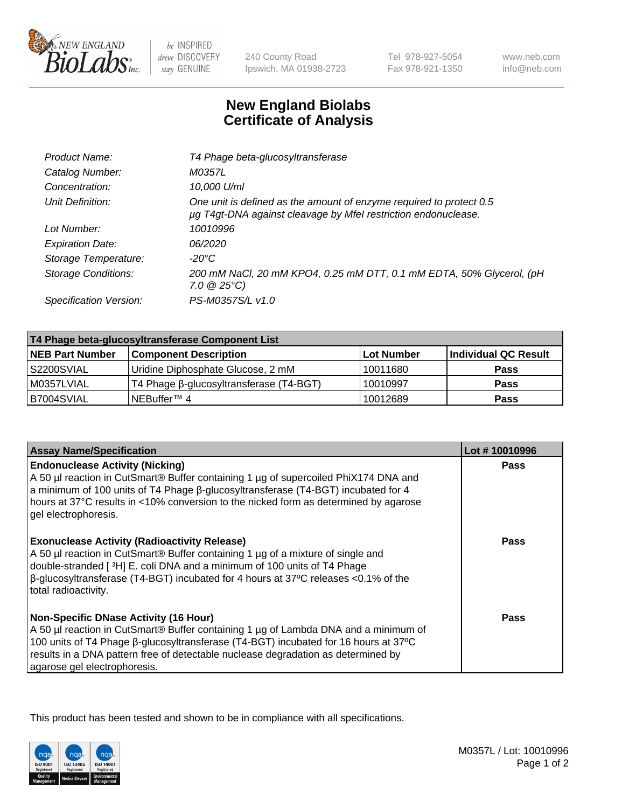

 $be$  INSPIRED drive DISCOVERY stay GENUINE

240 County Road Ipswich, MA 01938-2723 Tel 978-927-5054 Fax 978-921-1350 www.neb.com info@neb.com

## **New England Biolabs Certificate of Analysis**

| T4 Phage beta-glucosyltransferase                                                                                                     |
|---------------------------------------------------------------------------------------------------------------------------------------|
| M0357L                                                                                                                                |
| 10,000 U/ml                                                                                                                           |
| One unit is defined as the amount of enzyme required to protect 0.5<br>µg T4gt-DNA against cleavage by Mfel restriction endonuclease. |
| 10010996                                                                                                                              |
| 06/2020                                                                                                                               |
| -20°C                                                                                                                                 |
| 200 mM NaCl, 20 mM KPO4, 0.25 mM DTT, 0.1 mM EDTA, 50% Glycerol, (pH<br>$7.0 \ @ 25^{\circ}C$                                         |
| PS-M0357S/L v1.0                                                                                                                      |
|                                                                                                                                       |

| T4 Phage beta-glucosyltransferase Component List |                                         |            |                      |  |
|--------------------------------------------------|-----------------------------------------|------------|----------------------|--|
| <b>NEB Part Number</b>                           | <b>Component Description</b>            | Lot Number | Individual QC Result |  |
| S2200SVIAL                                       | Uridine Diphosphate Glucose, 2 mM       | 10011680   | <b>Pass</b>          |  |
| M0357LVIAL                                       | T4 Phage β-glucosyltransferase (T4-BGT) | 10010997   | <b>Pass</b>          |  |
| B7004SVIAL                                       | NEBuffer™ 4                             | 10012689   | <b>Pass</b>          |  |

| <b>Assay Name/Specification</b>                                                                                                                                                                                                                                                                                                                     | Lot #10010996 |
|-----------------------------------------------------------------------------------------------------------------------------------------------------------------------------------------------------------------------------------------------------------------------------------------------------------------------------------------------------|---------------|
| <b>Endonuclease Activity (Nicking)</b><br>A 50 µl reaction in CutSmart® Buffer containing 1 µg of supercoiled PhiX174 DNA and<br>a minimum of 100 units of T4 Phage B-glucosyltransferase (T4-BGT) incubated for 4<br>hours at 37°C results in <10% conversion to the nicked form as determined by agarose<br>gel electrophoresis.                  | <b>Pass</b>   |
| <b>Exonuclease Activity (Radioactivity Release)</b><br>A 50 µl reaction in CutSmart® Buffer containing 1 µg of a mixture of single and<br>double-stranded [ <sup>3</sup> H] E. coli DNA and a minimum of 100 units of T4 Phage<br>$\beta$ -glucosyltransferase (T4-BGT) incubated for 4 hours at 37°C releases <0.1% of the<br>total radioactivity. | Pass          |
| <b>Non-Specific DNase Activity (16 Hour)</b><br>A 50 µl reaction in CutSmart® Buffer containing 1 µg of Lambda DNA and a minimum of<br>100 units of T4 Phage β-glucosyltransferase (T4-BGT) incubated for 16 hours at 37°C<br>results in a DNA pattern free of detectable nuclease degradation as determined by<br>agarose gel electrophoresis.     | <b>Pass</b>   |

This product has been tested and shown to be in compliance with all specifications.